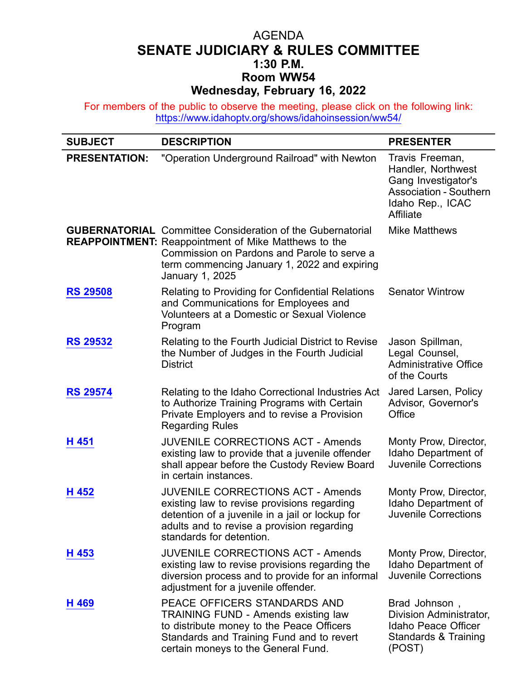## AGENDA **SENATE JUDICIARY & RULES COMMITTEE 1:30 P.M. Room WW54 Wednesday, February 16, 2022**

For members of the public to observe the meeting, please click on the following link: <https://www.idahoptv.org/shows/idahoinsession/ww54/>

| <b>SUBJECT</b>       | <b>DESCRIPTION</b>                                                                                                                                                                                                                                 | <b>PRESENTER</b>                                                                                                               |
|----------------------|----------------------------------------------------------------------------------------------------------------------------------------------------------------------------------------------------------------------------------------------------|--------------------------------------------------------------------------------------------------------------------------------|
| <b>PRESENTATION:</b> | "Operation Underground Railroad" with Newton                                                                                                                                                                                                       | Travis Freeman,<br>Handler, Northwest<br>Gang Investigator's<br><b>Association - Southern</b><br>Idaho Rep., ICAC<br>Affiliate |
|                      | <b>GUBERNATORIAL</b> Committee Consideration of the Gubernatorial<br><b>REAPPOINTMENT:</b> Reappointment of Mike Matthews to the<br>Commission on Pardons and Parole to serve a<br>term commencing January 1, 2022 and expiring<br>January 1, 2025 | <b>Mike Matthews</b>                                                                                                           |
| <b>RS 29508</b>      | Relating to Providing for Confidential Relations<br>and Communications for Employees and<br>Volunteers at a Domestic or Sexual Violence<br>Program                                                                                                 | <b>Senator Wintrow</b>                                                                                                         |
| <b>RS 29532</b>      | Relating to the Fourth Judicial District to Revise<br>the Number of Judges in the Fourth Judicial<br><b>District</b>                                                                                                                               | Jason Spillman,<br>Legal Counsel,<br><b>Administrative Office</b><br>of the Courts                                             |
| <b>RS 29574</b>      | Relating to the Idaho Correctional Industries Act<br>to Authorize Training Programs with Certain<br>Private Employers and to revise a Provision<br><b>Regarding Rules</b>                                                                          | Jared Larsen, Policy<br>Advisor, Governor's<br>Office                                                                          |
| H 451                | <b>JUVENILE CORRECTIONS ACT - Amends</b><br>existing law to provide that a juvenile offender<br>shall appear before the Custody Review Board<br>in certain instances.                                                                              | Monty Prow, Director,<br>Idaho Department of<br><b>Juvenile Corrections</b>                                                    |
| H 452                | <b>JUVENILE CORRECTIONS ACT - Amends</b><br>existing law to revise provisions regarding<br>detention of a juvenile in a jail or lockup for<br>adults and to revise a provision regarding<br>standards for detention.                               | Monty Prow, Director,<br>Idaho Department of<br>Juvenile Corrections                                                           |
| H 453                | <b>JUVENILE CORRECTIONS ACT - Amends</b><br>existing law to revise provisions regarding the<br>diversion process and to provide for an informal<br>adjustment for a juvenile offender.                                                             | Monty Prow, Director,<br>Idaho Department of<br><b>Juvenile Corrections</b>                                                    |
| H 469                | PEACE OFFICERS STANDARDS AND<br><b>TRAINING FUND - Amends existing law</b><br>to distribute money to the Peace Officers<br>Standards and Training Fund and to revert<br>certain moneys to the General Fund.                                        | Brad Johnson,<br>Division Administrator,<br>Idaho Peace Officer<br>Standards & Training<br>(POST)                              |